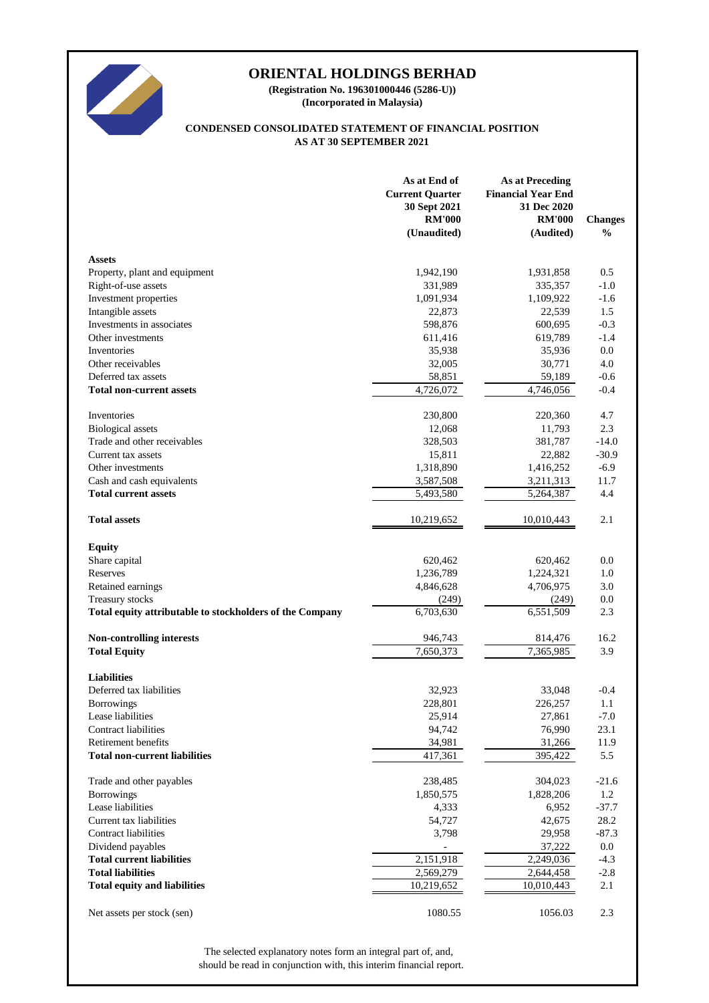

**(Incorporated in Malaysia) (Registration No. 196301000446 (5286-U))**

#### **AS AT 30 SEPTEMBER 2021 CONDENSED CONSOLIDATED STATEMENT OF FINANCIAL POSITION**

|                                                          | As at End of<br><b>Current Quarter</b><br>30 Sept 2021<br><b>RM'000</b><br>(Unaudited) | <b>As at Preceding</b><br><b>Financial Year End</b><br>31 Dec 2020<br><b>RM'000</b><br>(Audited) | <b>Changes</b><br>$\frac{0}{0}$ |
|----------------------------------------------------------|----------------------------------------------------------------------------------------|--------------------------------------------------------------------------------------------------|---------------------------------|
| <b>Assets</b>                                            |                                                                                        |                                                                                                  |                                 |
| Property, plant and equipment                            | 1,942,190                                                                              | 1,931,858                                                                                        | 0.5                             |
| Right-of-use assets                                      | 331,989                                                                                | 335,357                                                                                          | $-1.0$                          |
| Investment properties                                    | 1,091,934                                                                              | 1,109,922                                                                                        | $-1.6$                          |
| Intangible assets                                        | 22,873                                                                                 | 22,539                                                                                           | 1.5                             |
| Investments in associates                                | 598,876                                                                                | 600,695                                                                                          | $-0.3$                          |
| Other investments                                        | 611,416                                                                                | 619,789                                                                                          | $-1.4$                          |
| Inventories                                              | 35,938                                                                                 | 35,936                                                                                           | 0.0                             |
| Other receivables                                        | 32,005                                                                                 | 30,771                                                                                           | 4.0                             |
| Deferred tax assets                                      | 58,851                                                                                 | 59,189                                                                                           | $-0.6$                          |
| <b>Total non-current assets</b>                          | $\overline{4,726,072}$                                                                 | 4,746,056                                                                                        | $-0.4$                          |
| Inventories                                              | 230,800                                                                                | 220,360                                                                                          | 4.7                             |
| <b>Biological</b> assets                                 | 12,068                                                                                 | 11,793                                                                                           | 2.3                             |
| Trade and other receivables                              | 328,503                                                                                | 381,787                                                                                          | $-14.0$                         |
| Current tax assets                                       | 15,811                                                                                 | 22,882                                                                                           | $-30.9$                         |
| Other investments                                        | 1,318,890                                                                              | 1,416,252                                                                                        | $-6.9$                          |
| Cash and cash equivalents                                | 3,587,508                                                                              | 3,211,313                                                                                        | 11.7                            |
| <b>Total current assets</b>                              | 5,493,580                                                                              | 5,264,387                                                                                        | 4.4                             |
| <b>Total assets</b>                                      | 10,219,652                                                                             | 10,010,443                                                                                       | 2.1                             |
| <b>Equity</b>                                            |                                                                                        |                                                                                                  |                                 |
| Share capital                                            | 620,462                                                                                | 620,462                                                                                          | $0.0\,$                         |
| Reserves                                                 | 1,236,789                                                                              | 1,224,321                                                                                        | 1.0                             |
| Retained earnings                                        | 4,846,628                                                                              | 4,706,975                                                                                        | 3.0                             |
| Treasury stocks                                          | (249)                                                                                  | (249)                                                                                            | $0.0\,$                         |
| Total equity attributable to stockholders of the Company | 6,703,630                                                                              | $\overline{6,551,509}$                                                                           | 2.3                             |
| <b>Non-controlling interests</b>                         | 946,743                                                                                | 814,476                                                                                          | 16.2                            |
| <b>Total Equity</b>                                      | 7,650,373                                                                              | 7,365,985                                                                                        | 3.9                             |
| <b>Liabilities</b>                                       |                                                                                        |                                                                                                  |                                 |
| Deferred tax liabilities                                 | 32,923                                                                                 | 33,048                                                                                           | $-0.4$                          |
| <b>Borrowings</b>                                        | 228,801                                                                                | 226,257                                                                                          | 1.1                             |
| Lease liabilities                                        | 25,914                                                                                 | 27,861                                                                                           | $-7.0$                          |
| <b>Contract liabilities</b>                              | 94,742                                                                                 | 76,990                                                                                           | 23.1                            |
| Retirement benefits                                      | 34,981                                                                                 | 31,266                                                                                           | 11.9                            |
| <b>Total non-current liabilities</b>                     | 417,361                                                                                | 395,422                                                                                          | 5.5                             |
| Trade and other payables                                 | 238,485                                                                                | 304,023                                                                                          | $-21.6$                         |
| <b>Borrowings</b>                                        | 1,850,575                                                                              | 1,828,206                                                                                        | 1.2                             |
| Lease liabilities                                        | 4,333                                                                                  | 6,952                                                                                            | $-37.7$                         |
| Current tax liabilities                                  | 54,727                                                                                 | 42,675                                                                                           | 28.2                            |
| <b>Contract liabilities</b>                              | 3,798                                                                                  | 29,958                                                                                           | $-87.3$                         |
| Dividend payables                                        |                                                                                        | 37,222                                                                                           | $0.0\,$                         |
| <b>Total current liabilities</b>                         | 2,151,918                                                                              | 2,249,036                                                                                        | $-4.3$                          |
| <b>Total liabilities</b>                                 | 2,569,279                                                                              | 2,644,458                                                                                        | $-2.8$                          |
| <b>Total equity and liabilities</b>                      | 10,219,652                                                                             | 10,010,443                                                                                       | 2.1                             |
| Net assets per stock (sen)                               | 1080.55                                                                                | 1056.03                                                                                          | 2.3                             |

should be read in conjunction with, this interim financial report. The selected explanatory notes form an integral part of, and,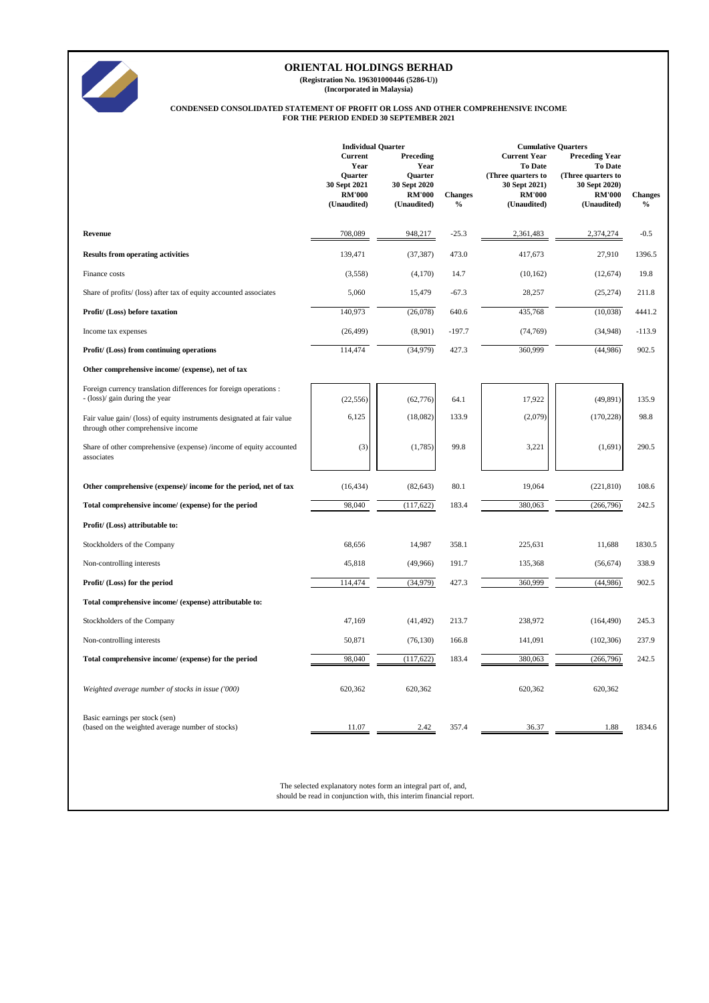

**(Registration No. 196301000446 (5286-U))**

**(Incorporated in Malaysia)**

#### **FOR THE PERIOD ENDED 30 SEPTEMBER 2021 CONDENSED CONSOLIDATED STATEMENT OF PROFIT OR LOSS AND OTHER COMPREHENSIVE INCOME**

|                                                                                                              | <b>Individual Quarter</b><br><b>Current</b><br>Year            | Preceding<br>Year                                       |                                 | <b>Cumulative Quarters</b><br><b>Current Year</b><br>To Date        | <b>Preceding Year</b><br><b>To Date</b>                             |                                 |
|--------------------------------------------------------------------------------------------------------------|----------------------------------------------------------------|---------------------------------------------------------|---------------------------------|---------------------------------------------------------------------|---------------------------------------------------------------------|---------------------------------|
|                                                                                                              | <b>Ouarter</b><br>30 Sept 2021<br><b>RM'000</b><br>(Unaudited) | Quarter<br>30 Sept 2020<br><b>RM'000</b><br>(Unaudited) | <b>Changes</b><br>$\frac{0}{0}$ | (Three quarters to<br>30 Sept 2021)<br><b>RM'000</b><br>(Unaudited) | (Three quarters to<br>30 Sept 2020)<br><b>RM'000</b><br>(Unaudited) | <b>Changes</b><br>$\frac{0}{0}$ |
| Revenue                                                                                                      | 708,089                                                        | 948,217                                                 | $-25.3$                         | 2,361,483                                                           | 2,374,274                                                           | $-0.5$                          |
| <b>Results from operating activities</b>                                                                     | 139,471                                                        | (37, 387)                                               | 473.0                           | 417,673                                                             | 27,910                                                              | 1396.5                          |
| Finance costs                                                                                                | (3,558)                                                        | (4,170)                                                 | 14.7                            | (10, 162)                                                           | (12, 674)                                                           | 19.8                            |
| Share of profits/ (loss) after tax of equity accounted associates                                            | 5,060                                                          | 15,479                                                  | $-67.3$                         | 28,257                                                              | (25, 274)                                                           | 211.8                           |
| Profit/ (Loss) before taxation                                                                               | 140,973                                                        | (26,078)                                                | 640.6                           | 435,768                                                             | (10,038)                                                            | 4441.2                          |
| Income tax expenses                                                                                          | (26, 499)                                                      | (8,901)                                                 | $-197.7$                        | (74, 769)                                                           | (34,948)                                                            | $-113.9$                        |
| Profit/ (Loss) from continuing operations                                                                    | 114,474                                                        | (34, 979)                                               | 427.3                           | 360,999                                                             | (44,986)                                                            | 902.5                           |
| Other comprehensive income/ (expense), net of tax                                                            |                                                                |                                                         |                                 |                                                                     |                                                                     |                                 |
| Foreign currency translation differences for foreign operations :<br>- (loss)/ gain during the year          | (22, 556)                                                      | (62, 776)                                               | 64.1                            | 17,922                                                              | (49, 891)                                                           | 135.9                           |
| Fair value gain/ (loss) of equity instruments designated at fair value<br>through other comprehensive income | 6,125                                                          | (18,082)                                                | 133.9                           | (2,079)                                                             | (170, 228)                                                          | 98.8                            |
| Share of other comprehensive (expense) /income of equity accounted<br>associates                             | (3)                                                            | (1,785)                                                 | 99.8                            | 3,221                                                               | (1,691)                                                             | 290.5                           |
| Other comprehensive (expense)/ income for the period, net of tax                                             | (16, 434)                                                      | (82, 643)                                               | 80.1                            | 19,064                                                              | (221, 810)                                                          | 108.6                           |
| Total comprehensive income/ (expense) for the period                                                         | 98,040                                                         | (117, 622)                                              | 183.4                           | 380,063                                                             | (266, 796)                                                          | 242.5                           |
| Profit/ (Loss) attributable to:                                                                              |                                                                |                                                         |                                 |                                                                     |                                                                     |                                 |
| Stockholders of the Company                                                                                  | 68,656                                                         | 14,987                                                  | 358.1                           | 225,631                                                             | 11,688                                                              | 1830.5                          |
| Non-controlling interests                                                                                    | 45,818                                                         | (49,966)                                                | 191.7                           | 135,368                                                             | (56, 674)                                                           | 338.9                           |
| Profit/ (Loss) for the period                                                                                | 114,474                                                        | (34,979)                                                | 427.3                           | 360,999                                                             | (44,986)                                                            | 902.5                           |
| Total comprehensive income/ (expense) attributable to:                                                       |                                                                |                                                         |                                 |                                                                     |                                                                     |                                 |
| Stockholders of the Company                                                                                  | 47,169                                                         | (41, 492)                                               | 213.7                           | 238,972                                                             | (164, 490)                                                          | 245.3                           |
| Non-controlling interests                                                                                    | 50,871                                                         | (76, 130)                                               | 166.8                           | 141,091                                                             | (102, 306)                                                          | 237.9                           |
| Total comprehensive income/ (expense) for the period                                                         | 98,040                                                         | (117, 622)                                              | 183.4                           | 380,063                                                             | (266, 796)                                                          | 242.5                           |
| Weighted average number of stocks in issue ('000)                                                            | 620,362                                                        | 620,362                                                 |                                 | 620,362                                                             | 620,362                                                             |                                 |
| Basic earnings per stock (sen)<br>(based on the weighted average number of stocks)                           | 11.07                                                          | 2.42                                                    | 357.4                           | 36.37                                                               | 1.88                                                                | 1834.6                          |

The selected explanatory notes form an integral part of, and, should be read in conjunction with, this interim financial report.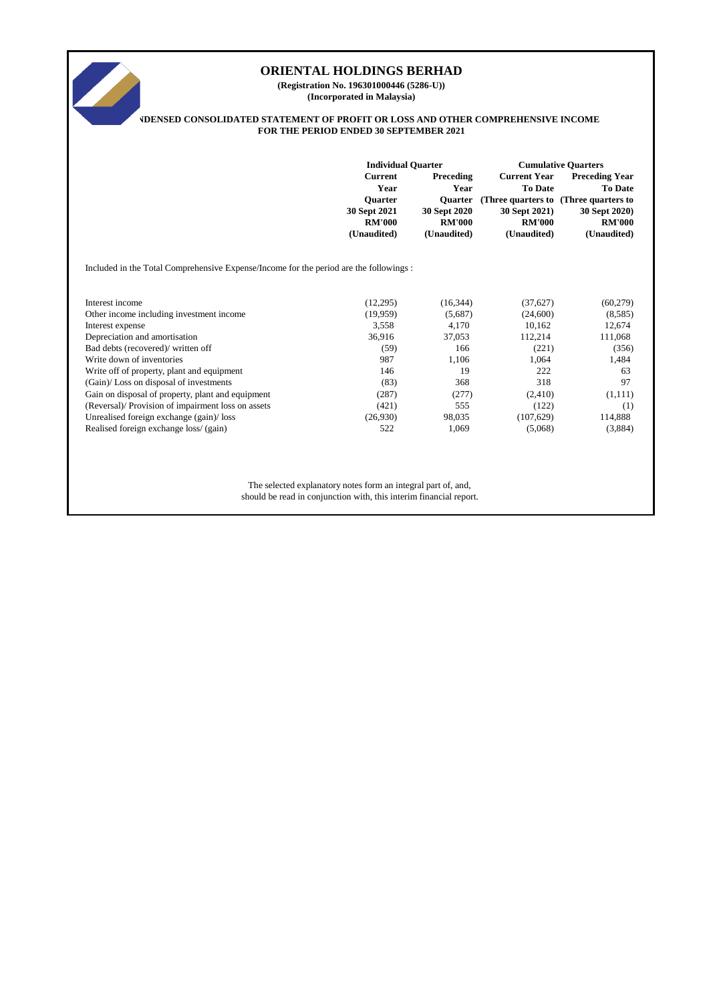

**(Incorporated in Malaysia) (Registration No. 196301000446 (5286-U))**

#### **CONSOLIDATED STATEMENT OF PROFIT OR LOSS AND OTHER COMPREHENSIVE INCOME FOR THE PERIOD ENDED 30 SEPTEMBER 2021**

|                                                                                       | <b>Individual Quarter</b>                                                                |                                                                                     | <b>Cumulative Quarters</b>                                                                                               |                                                                                          |  |
|---------------------------------------------------------------------------------------|------------------------------------------------------------------------------------------|-------------------------------------------------------------------------------------|--------------------------------------------------------------------------------------------------------------------------|------------------------------------------------------------------------------------------|--|
|                                                                                       | <b>Current</b><br>Year<br><b>Ouarter</b><br>30 Sept 2021<br><b>RM'000</b><br>(Unaudited) | Preceding<br>Year<br><b>Ouarter</b><br>30 Sept 2020<br><b>RM'000</b><br>(Unaudited) | <b>Current Year</b><br>To Date<br>(Three quarters to (Three quarters to<br>30 Sept 2021)<br><b>RM'000</b><br>(Unaudited) | <b>Preceding Year</b><br><b>To Date</b><br>30 Sept 2020)<br><b>RM'000</b><br>(Unaudited) |  |
| Included in the Total Comprehensive Expense/Income for the period are the followings: |                                                                                          |                                                                                     |                                                                                                                          |                                                                                          |  |
| Interest income                                                                       | (12,295)                                                                                 | (16, 344)                                                                           | (37,627)                                                                                                                 | (60, 279)                                                                                |  |
| Other income including investment income                                              | (19,959)                                                                                 | (5,687)                                                                             | (24,600)                                                                                                                 | (8,585)                                                                                  |  |
| Interest expense                                                                      | 3,558                                                                                    | 4,170                                                                               | 10,162                                                                                                                   | 12,674                                                                                   |  |
| Depreciation and amortisation                                                         | 36,916                                                                                   | 37,053                                                                              | 112,214                                                                                                                  | 111,068                                                                                  |  |
| Bad debts (recovered)/ written off                                                    | (59)                                                                                     | 166                                                                                 | (221)                                                                                                                    | (356)                                                                                    |  |
| Write down of inventories                                                             | 987                                                                                      | 1,106                                                                               | 1,064                                                                                                                    | 1,484                                                                                    |  |
| Write off of property, plant and equipment                                            | 146                                                                                      | 19                                                                                  | 222                                                                                                                      | 63                                                                                       |  |
| (Gain)/Loss on disposal of investments                                                | (83)                                                                                     | 368                                                                                 | 318                                                                                                                      | 97                                                                                       |  |
| Gain on disposal of property, plant and equipment                                     | (287)                                                                                    | (277)                                                                               | (2,410)                                                                                                                  | (1,111)                                                                                  |  |
| (Reversal)/ Provision of impairment loss on assets                                    | (421)                                                                                    | 555                                                                                 | (122)                                                                                                                    | (1)                                                                                      |  |
| Unrealised foreign exchange (gain)/loss                                               | (26,930)                                                                                 | 98,035                                                                              | (107, 629)                                                                                                               | 114,888                                                                                  |  |
| Realised foreign exchange loss/ (gain)                                                | 522                                                                                      | 1,069                                                                               | (5,068)                                                                                                                  | (3,884)                                                                                  |  |
| The selected explanatory notes form an integral part of, and,                         |                                                                                          |                                                                                     |                                                                                                                          |                                                                                          |  |
| should be read in conjunction with, this interim financial report.                    |                                                                                          |                                                                                     |                                                                                                                          |                                                                                          |  |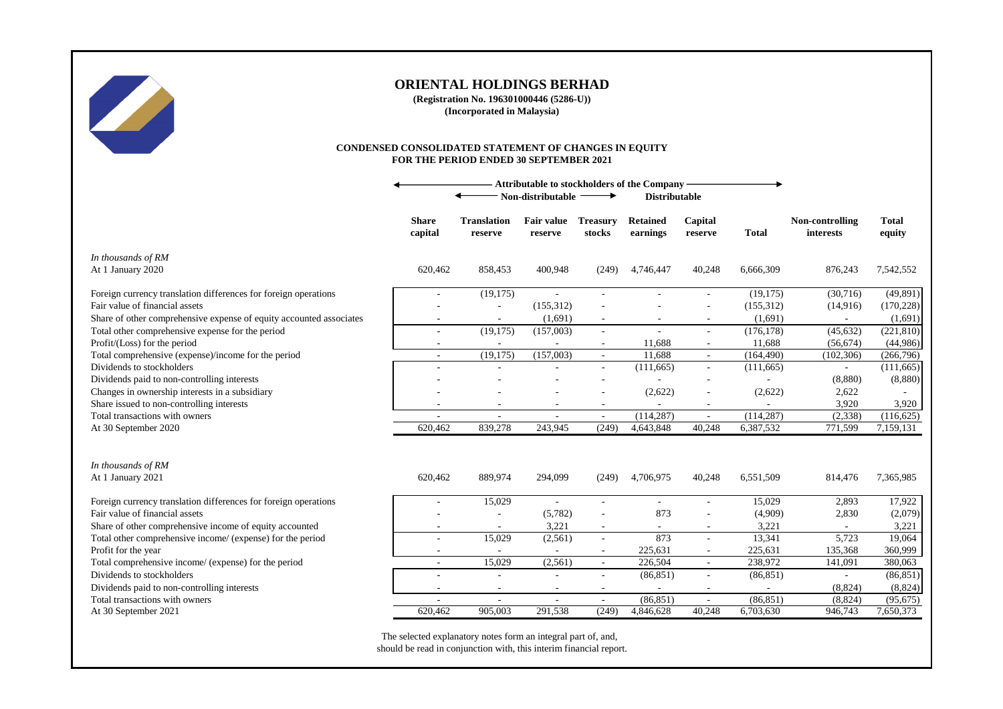

**(Registration No. 196301000446 (5286-U)) (Incorporated in Malaysia)**

#### **CONDENSED CONSOLIDATED STATEMENT OF CHANGES IN EQUITY FOR THE PERIOD ENDED 30 SEPTEMBER 2021**

|                                                                     | <b>Attributable to stockholders of the Company</b><br>Non-distributable<br><b>Distributable</b><br>→ |                               |                              |                           |                             |                          |              |                              |                        |
|---------------------------------------------------------------------|------------------------------------------------------------------------------------------------------|-------------------------------|------------------------------|---------------------------|-----------------------------|--------------------------|--------------|------------------------------|------------------------|
|                                                                     | <b>Share</b><br>capital                                                                              | <b>Translation</b><br>reserve | <b>Fair value</b><br>reserve | <b>Treasury</b><br>stocks | <b>Retained</b><br>earnings | Capital<br>reserve       | <b>Total</b> | Non-controlling<br>interests | <b>Total</b><br>equity |
| In thousands of RM<br>At 1 January 2020                             | 620,462                                                                                              | 858,453                       | 400,948                      | (249)                     | 4,746,447                   | 40,248                   | 6,666,309    | 876,243                      | 7,542,552              |
| Foreign currency translation differences for foreign operations     |                                                                                                      | (19, 175)                     |                              |                           |                             |                          | (19, 175)    | (30,716)                     | (49, 891)              |
| Fair value of financial assets                                      |                                                                                                      |                               | (155, 312)                   |                           |                             |                          | (155,312)    | (14,916)                     | (170, 228)             |
| Share of other comprehensive expense of equity accounted associates |                                                                                                      |                               | (1,691)                      |                           |                             |                          | (1,691)      |                              | (1,691)                |
| Total other comprehensive expense for the period                    | $\overline{\phantom{a}}$                                                                             | (19,175)                      | (157,003)                    | $\sim$                    |                             | ä,                       | (176, 178)   | (45, 632)                    | (221, 810)             |
| Profit/(Loss) for the period                                        | $\overline{\phantom{a}}$                                                                             | $\overline{\phantom{a}}$      |                              | $\sim$                    | 11,688                      | $\overline{\phantom{a}}$ | 11,688       | (56, 674)                    | (44,986)               |
| Total comprehensive (expense)/income for the period                 | ٠                                                                                                    | (19, 175)                     | (157,003)                    | $\sim$                    | 11,688                      | $\sim$                   | (164, 490)   | (102, 306)                   | (266,796)              |
| Dividends to stockholders                                           |                                                                                                      | ٠                             |                              | $\overline{\phantom{a}}$  | (111, 665)                  | $\blacksquare$           | (111,665)    | $\sim$                       | (111,665)              |
| Dividends paid to non-controlling interests                         |                                                                                                      |                               |                              |                           |                             |                          |              | (8,880)                      | (8,880)                |
| Changes in ownership interests in a subsidiary                      |                                                                                                      |                               |                              |                           | (2,622)                     |                          | (2,622)      | 2,622                        |                        |
| Share issued to non-controlling interests                           |                                                                                                      |                               |                              | $\overline{\phantom{a}}$  |                             | ٠                        |              | 3,920                        | 3,920                  |
| Total transactions with owners                                      |                                                                                                      | $\overline{a}$                | ÷.                           | $\mathcal{L}$             | (114, 287)                  | L.                       | (114, 287)   | (2, 338)                     | (116, 625)             |
| At 30 September 2020                                                | 620,462                                                                                              | 839,278                       | 243,945                      | (249)                     | 4,643,848                   | 40,248                   | 6,387,532    | 771,599                      | 7,159,131              |
| In thousands of RM                                                  |                                                                                                      |                               |                              |                           |                             |                          |              |                              |                        |
| At 1 January 2021                                                   | 620,462                                                                                              | 889,974                       | 294,099                      | (249)                     | 4,706,975                   | 40,248                   | 6,551,509    | 814,476                      | 7,365,985              |
| Foreign currency translation differences for foreign operations     |                                                                                                      | 15,029                        |                              |                           |                             | L,                       | 15,029       | 2,893                        | 17,922                 |
| Fair value of financial assets                                      |                                                                                                      |                               | (5,782)                      |                           | 873                         |                          | (4,909)      | 2,830                        | (2,079)                |
| Share of other comprehensive income of equity accounted             |                                                                                                      |                               | 3,221                        |                           |                             | $\overline{\phantom{a}}$ | 3,221        |                              | 3,221                  |
| Total other comprehensive income/ (expense) for the period          | $\overline{\phantom{a}}$                                                                             | 15,029                        | (2,561)                      | $\overline{\phantom{a}}$  | 873                         | $\overline{\phantom{a}}$ | 13,341       | 5,723                        | 19,064                 |
| Profit for the year                                                 |                                                                                                      |                               |                              | $\overline{\phantom{a}}$  | 225,631                     |                          | 225,631      | 135,368                      | 360,999                |
| Total comprehensive income/ (expense) for the period                | $\sim$                                                                                               | 15,029                        | (2, 561)                     | $\sim$                    | 226,504                     | $\overline{\phantom{a}}$ | 238,972      | 141,091                      | 380,063                |
| Dividends to stockholders                                           |                                                                                                      | $\sim$                        |                              | $\sim$                    | (86, 851)                   | $\sim$                   | (86, 851)    | $\overline{\phantom{a}}$     | (86, 851)              |
| Dividends paid to non-controlling interests                         | ٠                                                                                                    | $\sim$                        | $\overline{\phantom{a}}$     | $\sim$                    |                             | $\sim$                   |              | (8,824)                      | (8,824)                |
| Total transactions with owners                                      | ٠                                                                                                    | $\sim$                        | $\sim$                       | $\sim$                    | (86, 851)                   | ÷,                       | (86, 851)    | (8, 824)                     | (95, 675)              |
| At 30 September 2021                                                | 620.462                                                                                              | 905,003                       | 291.538                      | (249)                     | 4,846,628                   | 40.248                   | 6,703,630    | 946,743                      | 7,650,373              |

The selected explanatory notes form an integral part of, and, should be read in conjunction with, this interim financial report.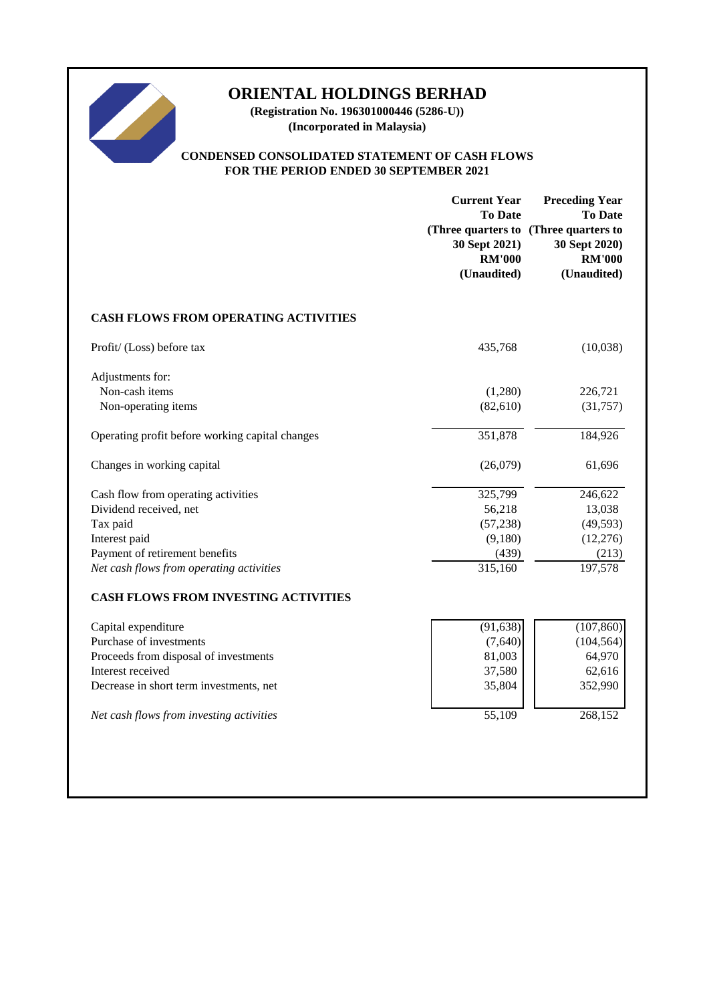

**(Registration No. 196301000446 (5286-U)) (Incorporated in Malaysia)**

### **CONDENSED CONSOLIDATED STATEMENT OF CASH FLOWS FOR THE PERIOD ENDED 30 SEPTEMBER 2021**

|                                                 | <b>Current Year</b><br><b>To Date</b><br>30 Sept 2021)<br><b>RM'000</b><br>(Unaudited) | <b>Preceding Year</b><br><b>To Date</b><br>(Three quarters to (Three quarters to<br>30 Sept 2020)<br><b>RM'000</b><br>(Unaudited) |
|-------------------------------------------------|----------------------------------------------------------------------------------------|-----------------------------------------------------------------------------------------------------------------------------------|
| <b>CASH FLOWS FROM OPERATING ACTIVITIES</b>     |                                                                                        |                                                                                                                                   |
| Profit/ (Loss) before tax                       | 435,768                                                                                | (10,038)                                                                                                                          |
| Adjustments for:<br>Non-cash items              | (1,280)                                                                                | 226,721                                                                                                                           |
| Non-operating items                             | (82, 610)                                                                              | (31,757)                                                                                                                          |
| Operating profit before working capital changes | 351,878                                                                                | 184,926                                                                                                                           |
| Changes in working capital                      | (26,079)                                                                               | 61,696                                                                                                                            |
| Cash flow from operating activities             | 325,799                                                                                | 246,622                                                                                                                           |
| Dividend received, net                          | 56,218                                                                                 | 13,038                                                                                                                            |
| Tax paid                                        | (57, 238)                                                                              | (49, 593)                                                                                                                         |
| Interest paid                                   | (9,180)                                                                                | (12,276)                                                                                                                          |
| Payment of retirement benefits                  | (439)                                                                                  | (213)                                                                                                                             |
| Net cash flows from operating activities        | 315,160                                                                                | 197,578                                                                                                                           |
| <b>CASH FLOWS FROM INVESTING ACTIVITIES</b>     |                                                                                        |                                                                                                                                   |
| Capital expenditure                             | (91, 638)                                                                              | (107, 860)                                                                                                                        |
| Purchase of investments                         | (7,640)                                                                                | (104, 564)                                                                                                                        |
| Proceeds from disposal of investments           | 81,003                                                                                 | 64,970                                                                                                                            |
| Interest received                               | 37,580                                                                                 | 62,616                                                                                                                            |
| Decrease in short term investments, net         | 35,804                                                                                 | 352,990                                                                                                                           |
| Net cash flows from investing activities        | 55,109                                                                                 | 268,152                                                                                                                           |
|                                                 |                                                                                        |                                                                                                                                   |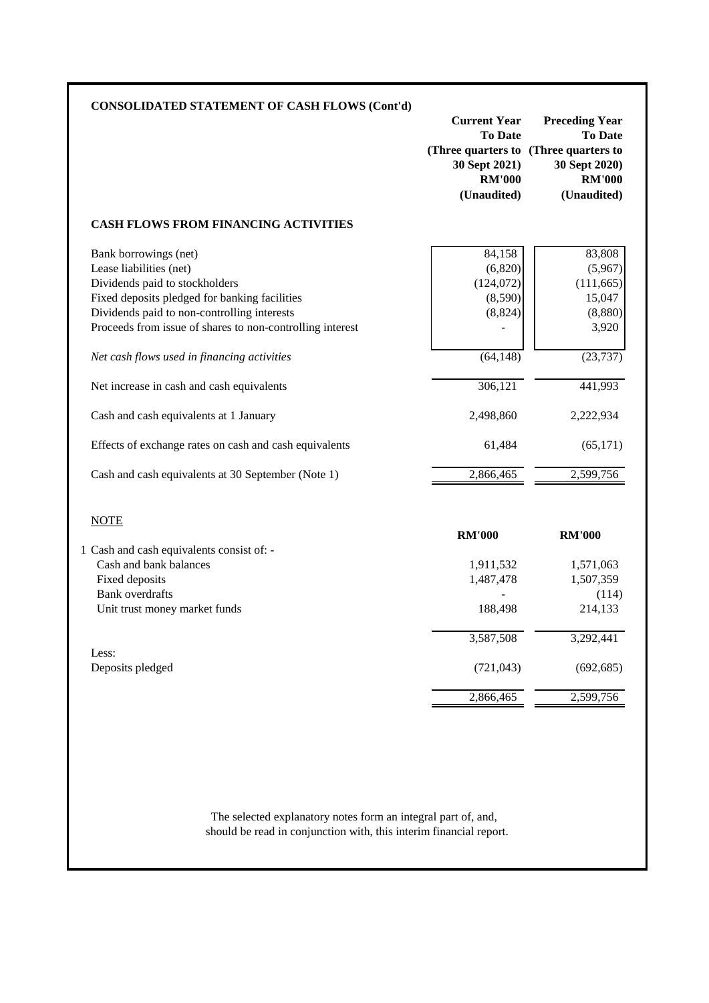| <b>CONSOLIDATED STATEMENT OF CASH FLOWS (Cont'd)</b>                                                     | <b>Current Year</b>                                                                                      | <b>Preceding Year</b>                                           |
|----------------------------------------------------------------------------------------------------------|----------------------------------------------------------------------------------------------------------|-----------------------------------------------------------------|
|                                                                                                          | <b>To Date</b><br>(Three quarters to (Three quarters to<br>30 Sept 2021)<br><b>RM'000</b><br>(Unaudited) | <b>To Date</b><br>30 Sept 2020)<br><b>RM'000</b><br>(Unaudited) |
| <b>CASH FLOWS FROM FINANCING ACTIVITIES</b>                                                              |                                                                                                          |                                                                 |
| Bank borrowings (net)                                                                                    | 84,158                                                                                                   | 83,808                                                          |
| Lease liabilities (net)                                                                                  | (6,820)                                                                                                  | (5,967)                                                         |
| Dividends paid to stockholders                                                                           | (124,072)                                                                                                | (111, 665)                                                      |
| Fixed deposits pledged for banking facilities                                                            | (8,590)                                                                                                  | 15,047                                                          |
| Dividends paid to non-controlling interests<br>Proceeds from issue of shares to non-controlling interest | (8, 824)                                                                                                 | (8,880)<br>3,920                                                |
| Net cash flows used in financing activities                                                              | (64, 148)                                                                                                | (23, 737)                                                       |
| Net increase in cash and cash equivalents                                                                | 306,121                                                                                                  | 441,993                                                         |
| Cash and cash equivalents at 1 January                                                                   | 2,498,860                                                                                                | 2,222,934                                                       |
| Effects of exchange rates on cash and cash equivalents                                                   | 61,484                                                                                                   | (65, 171)                                                       |
| Cash and cash equivalents at 30 September (Note 1)                                                       | 2,866,465                                                                                                | 2,599,756                                                       |
| <b>NOTE</b>                                                                                              |                                                                                                          |                                                                 |
|                                                                                                          | <b>RM'000</b>                                                                                            | <b>RM'000</b>                                                   |
| 1 Cash and cash equivalents consist of: -                                                                |                                                                                                          |                                                                 |
| Cash and bank balances                                                                                   | 1,911,532                                                                                                | 1,571,063                                                       |
| Fixed deposits<br><b>Bank</b> overdrafts                                                                 | 1,487,478                                                                                                | 1,507,359                                                       |
| Unit trust money market funds                                                                            | 188,498                                                                                                  | (114)<br>214,133                                                |
|                                                                                                          |                                                                                                          |                                                                 |
|                                                                                                          | 3,587,508                                                                                                | 3,292,441                                                       |
| Less:<br>Deposits pledged                                                                                | (721, 043)                                                                                               | (692, 685)                                                      |
|                                                                                                          | 2,866,465                                                                                                | 2,599,756                                                       |

should be read in conjunction with, this interim financial report. The selected explanatory notes form an integral part of, and,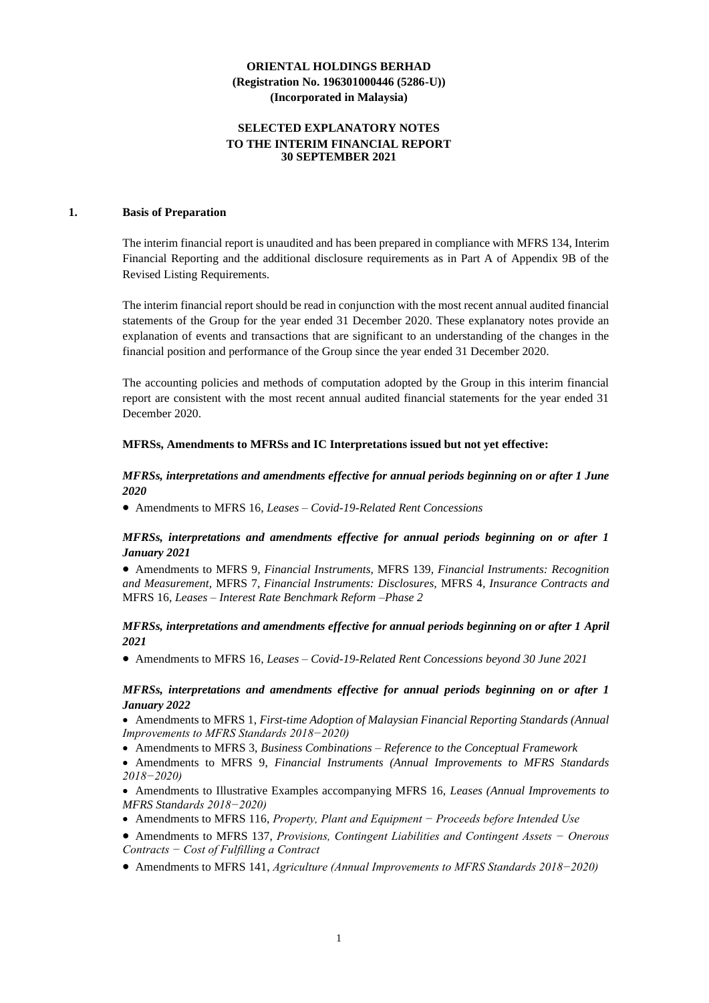### **SELECTED EXPLANATORY NOTES TO THE INTERIM FINANCIAL REPORT 30 SEPTEMBER 2021**

#### **1. Basis of Preparation**

The interim financial report is unaudited and has been prepared in compliance with MFRS 134, Interim Financial Reporting and the additional disclosure requirements as in Part A of Appendix 9B of the Revised Listing Requirements.

The interim financial report should be read in conjunction with the most recent annual audited financial statements of the Group for the year ended 31 December 2020. These explanatory notes provide an explanation of events and transactions that are significant to an understanding of the changes in the financial position and performance of the Group since the year ended 31 December 2020.

The accounting policies and methods of computation adopted by the Group in this interim financial report are consistent with the most recent annual audited financial statements for the year ended 31 December 2020.

#### **MFRSs, Amendments to MFRSs and IC Interpretations issued but not yet effective:**

#### *MFRSs, interpretations and amendments effective for annual periods beginning on or after 1 June 2020*

• Amendments to MFRS 16*, Leases – Covid-19-Related Rent Concessions*

#### *MFRSs, interpretations and amendments effective for annual periods beginning on or after 1 January 2021*

• Amendments to MFRS 9*, Financial Instruments,* MFRS 139*, Financial Instruments: Recognition and Measurement,* MFRS 7*, Financial Instruments: Disclosures,* MFRS 4*, Insurance Contracts and*  MFRS 16*, Leases – Interest Rate Benchmark Reform –Phase 2*

#### *MFRSs, interpretations and amendments effective for annual periods beginning on or after 1 April 2021*

• Amendments to MFRS 16*, Leases – Covid-19-Related Rent Concessions beyond 30 June 2021*

#### *MFRSs, interpretations and amendments effective for annual periods beginning on or after 1 January 2022*

• Amendments to MFRS 1, *First-time Adoption of Malaysian Financial Reporting Standards (Annual Improvements to MFRS Standards 2018−2020)*

- Amendments to MFRS 3, *Business Combinations – Reference to the Conceptual Framework*
- Amendments to MFRS 9, *Financial Instruments (Annual Improvements to MFRS Standards 2018−2020)*

• Amendments to Illustrative Examples accompanying MFRS 16, *Leases (Annual Improvements to MFRS Standards 2018−2020)*

- Amendments to MFRS 116, *Property, Plant and Equipment − Proceeds before Intended Use*
- Amendments to MFRS 137, *Provisions, Contingent Liabilities and Contingent Assets − Onerous Contracts − Cost of Fulfilling a Contract*
- Amendments to MFRS 141, *Agriculture (Annual Improvements to MFRS Standards 2018−2020)*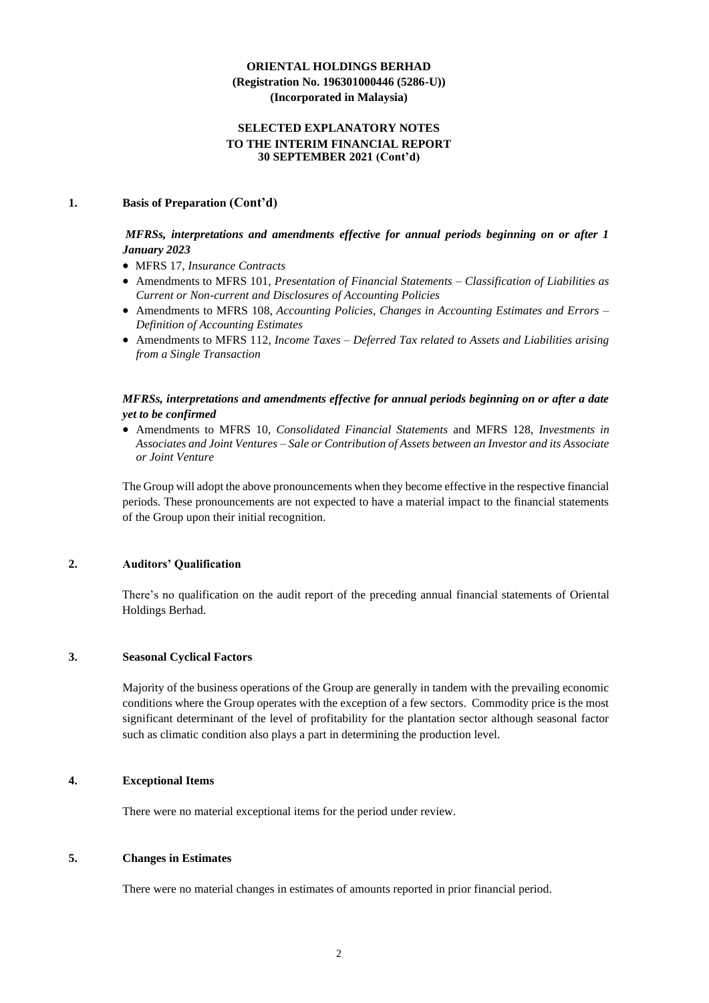#### **SELECTED EXPLANATORY NOTES TO THE INTERIM FINANCIAL REPORT 30 SEPTEMBER 2021 (Cont'd)**

#### **1. Basis of Preparation (Cont'd)**

### *MFRSs, interpretations and amendments effective for annual periods beginning on or after 1 January 2023*

- MFRS 17, *Insurance Contracts*
- Amendments to MFRS 101, *Presentation of Financial Statements – Classification of Liabilities as Current or Non-current and Disclosures of Accounting Policies*
- Amendments to MFRS 108, *Accounting Policies, Changes in Accounting Estimates and Errors – Definition of Accounting Estimates*
- Amendments to MFRS 112, *Income Taxes – Deferred Tax related to Assets and Liabilities arising from a Single Transaction*

### *MFRSs, interpretations and amendments effective for annual periods beginning on or after a date yet to be confirmed*

• Amendments to MFRS 10, *Consolidated Financial Statements* and MFRS 128, *Investments in Associates and Joint Ventures – Sale or Contribution of Assets between an Investor and its Associate or Joint Venture*

The Group will adopt the above pronouncements when they become effective in the respective financial periods. These pronouncements are not expected to have a material impact to the financial statements of the Group upon their initial recognition.

#### **2. Auditors' Qualification**

There's no qualification on the audit report of the preceding annual financial statements of Oriental Holdings Berhad.

#### **3. Seasonal Cyclical Factors**

Majority of the business operations of the Group are generally in tandem with the prevailing economic conditions where the Group operates with the exception of a few sectors. Commodity price is the most significant determinant of the level of profitability for the plantation sector although seasonal factor such as climatic condition also plays a part in determining the production level.

#### **4. Exceptional Items**

There were no material exceptional items for the period under review.

### **5. Changes in Estimates**

There were no material changes in estimates of amounts reported in prior financial period.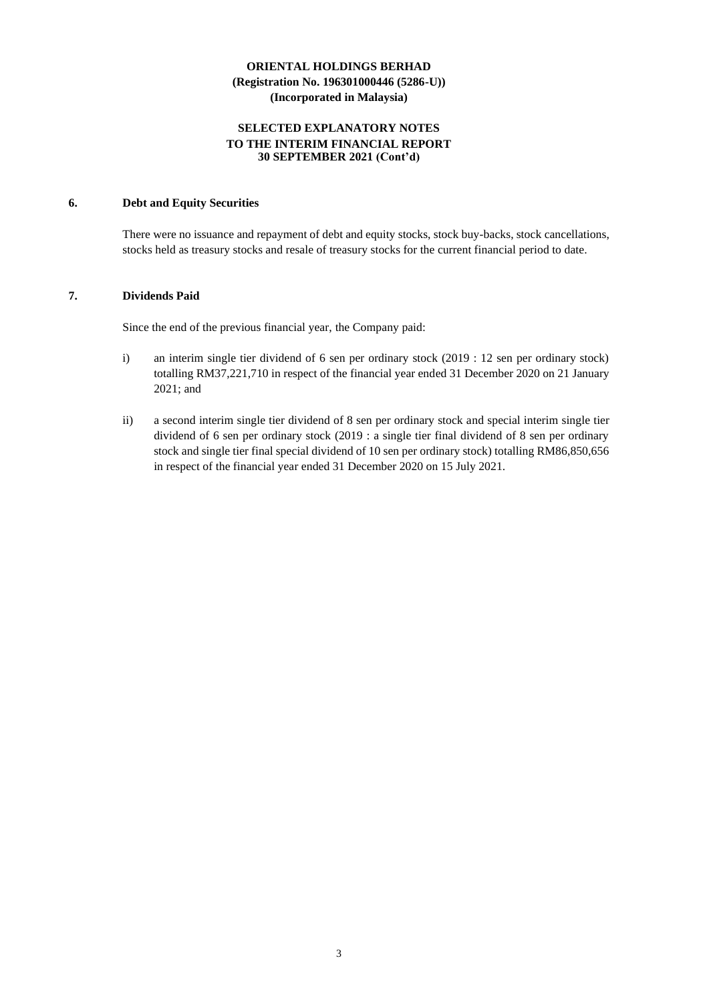### **SELECTED EXPLANATORY NOTES TO THE INTERIM FINANCIAL REPORT 30 SEPTEMBER 2021 (Cont'd)**

#### **6. Debt and Equity Securities**

There were no issuance and repayment of debt and equity stocks, stock buy-backs, stock cancellations, stocks held as treasury stocks and resale of treasury stocks for the current financial period to date.

### **7. Dividends Paid**

Since the end of the previous financial year, the Company paid:

- i) an interim single tier dividend of 6 sen per ordinary stock (2019 : 12 sen per ordinary stock) totalling RM37,221,710 in respect of the financial year ended 31 December 2020 on 21 January 2021; and
- ii) a second interim single tier dividend of 8 sen per ordinary stock and special interim single tier dividend of 6 sen per ordinary stock (2019 : a single tier final dividend of 8 sen per ordinary stock and single tier final special dividend of 10 sen per ordinary stock) totalling RM86,850,656 in respect of the financial year ended 31 December 2020 on 15 July 2021.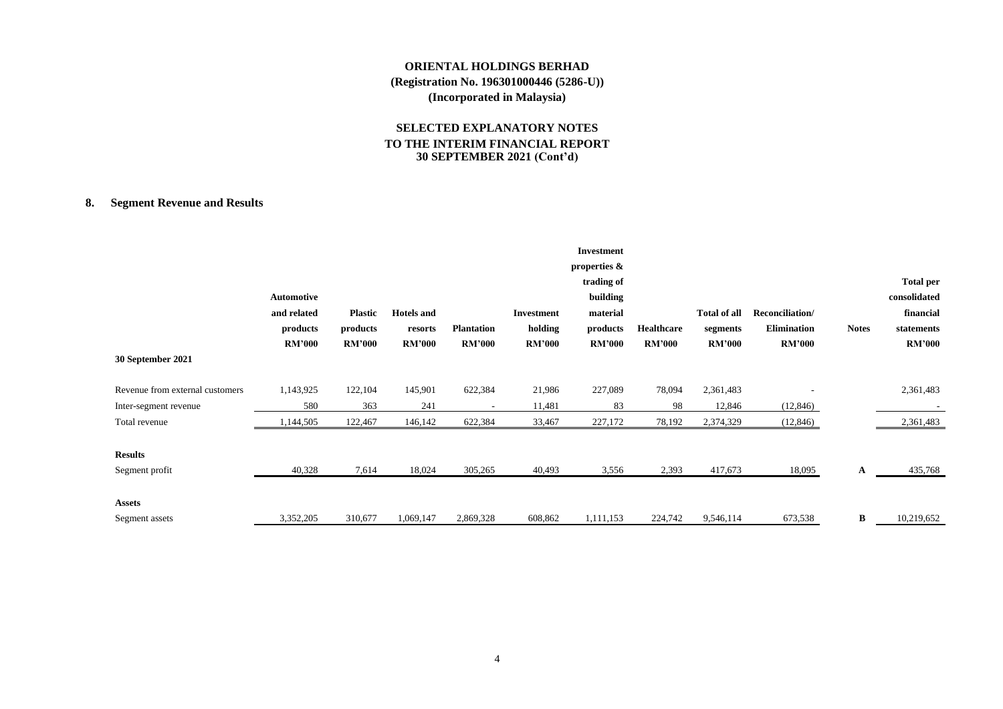### **SELECTED EXPLANATORY NOTES TO THE INTERIM FINANCIAL REPORT 30 SEPTEMBER 2021 (Cont'd)**

### **8. Segment Revenue and Results**

| 30 September 2021               | Automotive<br>and related<br>products<br><b>RM'000</b> | <b>Plastic</b><br>products<br><b>RM'000</b> | <b>Hotels</b> and<br>resorts<br><b>RM'000</b> | <b>Plantation</b><br><b>RM'000</b> | <b>Investment</b><br>holding<br><b>RM'000</b> | <b>Investment</b><br>properties $\&$<br>trading of<br>building<br>material<br>products<br><b>RM'000</b> | <b>Healthcare</b><br><b>RM'000</b> | <b>Total of all</b><br>segments<br><b>RM'000</b> | Reconciliation/<br><b>Elimination</b><br><b>RM'000</b> | <b>Notes</b> | <b>Total per</b><br>consolidated<br>financial<br>statements<br><b>RM'000</b> |
|---------------------------------|--------------------------------------------------------|---------------------------------------------|-----------------------------------------------|------------------------------------|-----------------------------------------------|---------------------------------------------------------------------------------------------------------|------------------------------------|--------------------------------------------------|--------------------------------------------------------|--------------|------------------------------------------------------------------------------|
| Revenue from external customers | 1,143,925                                              | 122,104                                     | 145,901                                       | 622,384                            | 21,986                                        | 227,089                                                                                                 | 78,094                             | 2,361,483                                        |                                                        |              | 2,361,483                                                                    |
| Inter-segment revenue           | 580                                                    | 363                                         | 241                                           | $\overline{\phantom{a}}$           | 11,481                                        | 83                                                                                                      | 98                                 | 12,846                                           | (12, 846)                                              |              |                                                                              |
| Total revenue                   | 1,144,505                                              | 122,467                                     | 146,142                                       | 622,384                            | 33,467                                        | 227,172                                                                                                 | 78,192                             | 2,374,329                                        | (12, 846)                                              |              | 2,361,483                                                                    |
| <b>Results</b>                  |                                                        |                                             |                                               |                                    |                                               |                                                                                                         |                                    |                                                  |                                                        |              |                                                                              |
| Segment profit                  | 40,328                                                 | 7,614                                       | 18,024                                        | 305,265                            | 40,493                                        | 3,556                                                                                                   | 2,393                              | 417,673                                          | 18,095                                                 | A            | 435,768                                                                      |
| <b>Assets</b>                   |                                                        |                                             |                                               |                                    |                                               |                                                                                                         |                                    |                                                  |                                                        |              |                                                                              |
| Segment assets                  | 3,352,205                                              | 310,677                                     | 1,069,147                                     | 2,869,328                          | 608,862                                       | 1,111,153                                                                                               | 224,742                            | 9,546,114                                        | 673,538                                                | B            | 10,219,652                                                                   |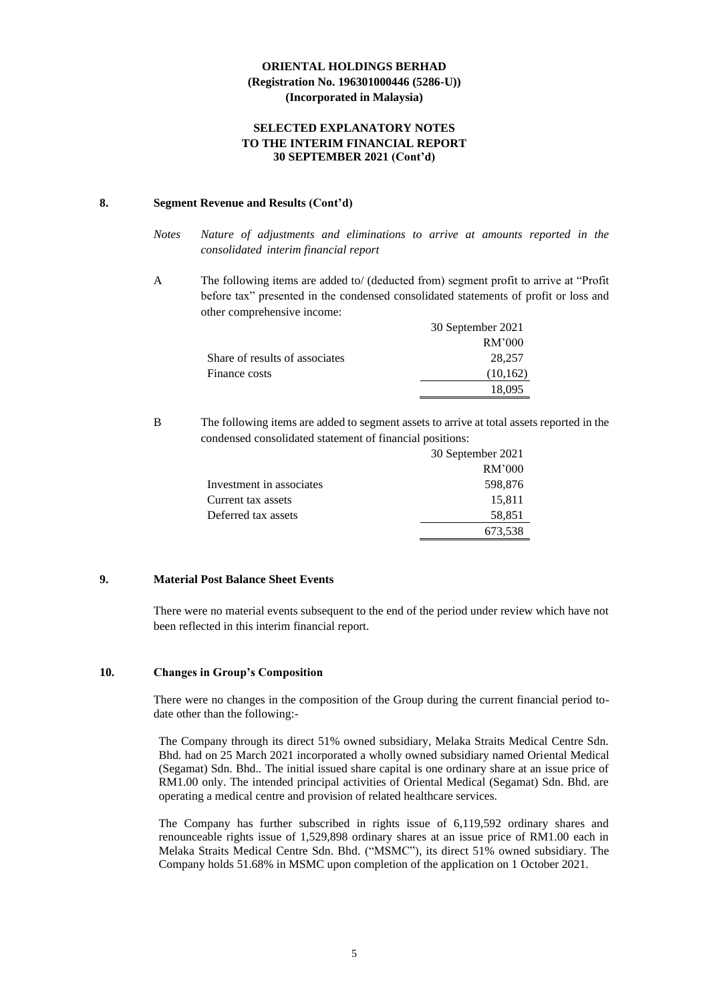#### **SELECTED EXPLANATORY NOTES TO THE INTERIM FINANCIAL REPORT 30 SEPTEMBER 2021 (Cont'd)**

#### **8. Segment Revenue and Results (Cont'd)**

- *Notes Nature of adjustments and eliminations to arrive at amounts reported in the consolidated interim financial report*
- A The following items are added to/ (deducted from) segment profit to arrive at "Profit before tax" presented in the condensed consolidated statements of profit or loss and other comprehensive income:

|                                | 30 September 2021 |
|--------------------------------|-------------------|
|                                | RM'000            |
| Share of results of associates | 28,257            |
| Finance costs                  | (10, 162)         |
|                                | 18.095            |

B The following items are added to segment assets to arrive at total assets reported in the condensed consolidated statement of financial positions:

|                          | 30 September 2021 |
|--------------------------|-------------------|
|                          | RM'000            |
| Investment in associates | 598,876           |
| Current tax assets       | 15,811            |
| Deferred tax assets      | 58,851            |
|                          | 673,538           |

### **9. Material Post Balance Sheet Events**

There were no material events subsequent to the end of the period under review which have not been reflected in this interim financial report.

### **10. Changes in Group's Composition**

There were no changes in the composition of the Group during the current financial period todate other than the following:-

The Company through its direct 51% owned subsidiary, Melaka Straits Medical Centre Sdn. Bhd. had on 25 March 2021 incorporated a wholly owned subsidiary named Oriental Medical (Segamat) Sdn. Bhd.. The initial issued share capital is one ordinary share at an issue price of RM1.00 only. The intended principal activities of Oriental Medical (Segamat) Sdn. Bhd. are operating a medical centre and provision of related healthcare services.

The Company has further subscribed in rights issue of 6,119,592 ordinary shares and renounceable rights issue of 1,529,898 ordinary shares at an issue price of RM1.00 each in Melaka Straits Medical Centre Sdn. Bhd. ("MSMC"), its direct 51% owned subsidiary. The Company holds 51.68% in MSMC upon completion of the application on 1 October 2021.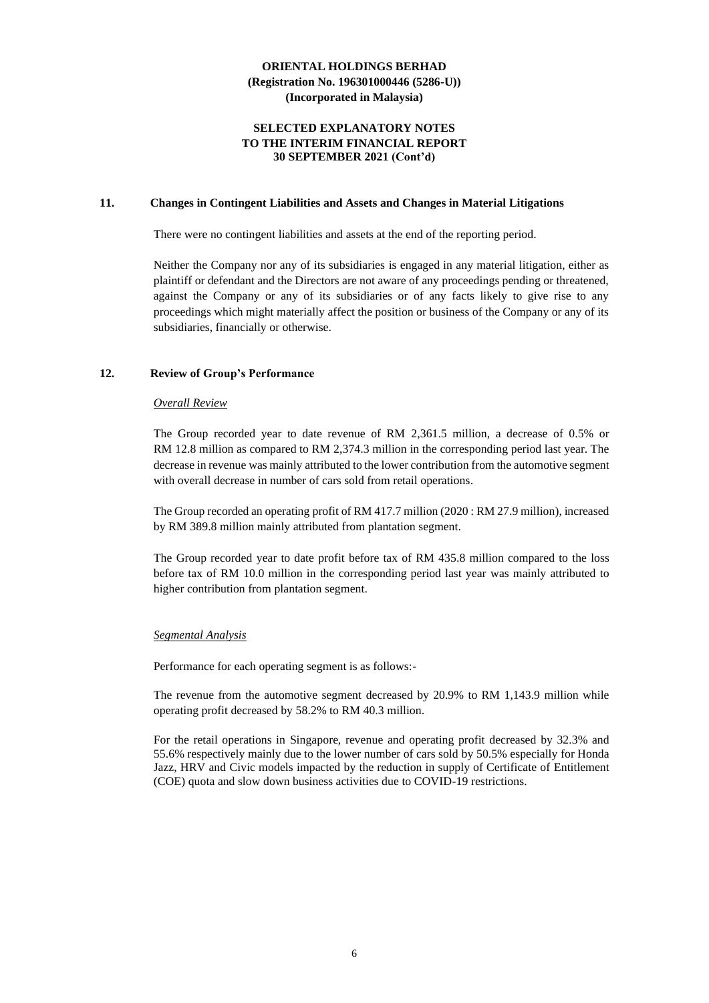#### **SELECTED EXPLANATORY NOTES TO THE INTERIM FINANCIAL REPORT 30 SEPTEMBER 2021 (Cont'd)**

#### **11. Changes in Contingent Liabilities and Assets and Changes in Material Litigations**

There were no contingent liabilities and assets at the end of the reporting period.

Neither the Company nor any of its subsidiaries is engaged in any material litigation, either as plaintiff or defendant and the Directors are not aware of any proceedings pending or threatened, against the Company or any of its subsidiaries or of any facts likely to give rise to any proceedings which might materially affect the position or business of the Company or any of its subsidiaries, financially or otherwise.

#### **12. Review of Group's Performance**

#### *Overall Review*

The Group recorded year to date revenue of RM 2,361.5 million, a decrease of 0.5% or RM 12.8 million as compared to RM 2,374.3 million in the corresponding period last year. The decrease in revenue was mainly attributed to the lower contribution from the automotive segment with overall decrease in number of cars sold from retail operations.

The Group recorded an operating profit of RM 417.7 million (2020 : RM 27.9 million), increased by RM 389.8 million mainly attributed from plantation segment.

The Group recorded year to date profit before tax of RM 435.8 million compared to the loss before tax of RM 10.0 million in the corresponding period last year was mainly attributed to higher contribution from plantation segment.

#### *Segmental Analysis*

Performance for each operating segment is as follows:-

The revenue from the automotive segment decreased by 20.9% to RM 1,143.9 million while operating profit decreased by 58.2% to RM 40.3 million.

For the retail operations in Singapore, revenue and operating profit decreased by 32.3% and 55.6% respectively mainly due to the lower number of cars sold by 50.5% especially for Honda Jazz, HRV and Civic models impacted by the reduction in supply of Certificate of Entitlement (COE) quota and slow down business activities due to COVID-19 restrictions.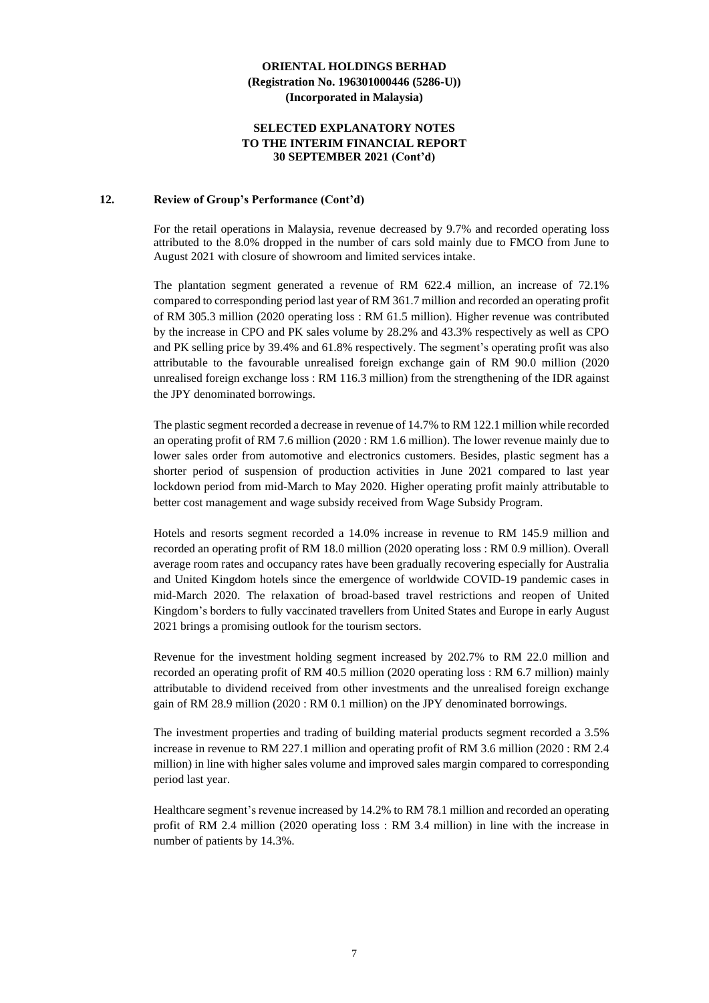#### **SELECTED EXPLANATORY NOTES TO THE INTERIM FINANCIAL REPORT 30 SEPTEMBER 2021 (Cont'd)**

#### **12. Review of Group's Performance (Cont'd)**

For the retail operations in Malaysia, revenue decreased by 9.7% and recorded operating loss attributed to the 8.0% dropped in the number of cars sold mainly due to FMCO from June to August 2021 with closure of showroom and limited services intake.

The plantation segment generated a revenue of RM 622.4 million, an increase of 72.1% compared to corresponding period last year of RM 361.7 million and recorded an operating profit of RM 305.3 million (2020 operating loss : RM 61.5 million). Higher revenue was contributed by the increase in CPO and PK sales volume by 28.2% and 43.3% respectively as well as CPO and PK selling price by 39.4% and 61.8% respectively. The segment's operating profit was also attributable to the favourable unrealised foreign exchange gain of RM 90.0 million (2020 unrealised foreign exchange loss : RM 116.3 million) from the strengthening of the IDR against the JPY denominated borrowings.

The plastic segment recorded a decrease in revenue of 14.7% to RM 122.1 million while recorded an operating profit of RM 7.6 million (2020 : RM 1.6 million). The lower revenue mainly due to lower sales order from automotive and electronics customers. Besides, plastic segment has a shorter period of suspension of production activities in June 2021 compared to last year lockdown period from mid-March to May 2020. Higher operating profit mainly attributable to better cost management and wage subsidy received from Wage Subsidy Program.

Hotels and resorts segment recorded a 14.0% increase in revenue to RM 145.9 million and recorded an operating profit of RM 18.0 million (2020 operating loss : RM 0.9 million). Overall average room rates and occupancy rates have been gradually recovering especially for Australia and United Kingdom hotels since the emergence of worldwide COVID-19 pandemic cases in mid-March 2020. The relaxation of broad-based travel restrictions and reopen of United Kingdom's borders to fully vaccinated travellers from United States and Europe in early August 2021 brings a promising outlook for the tourism sectors.

Revenue for the investment holding segment increased by 202.7% to RM 22.0 million and recorded an operating profit of RM 40.5 million (2020 operating loss : RM 6.7 million) mainly attributable to dividend received from other investments and the unrealised foreign exchange gain of RM 28.9 million (2020 : RM 0.1 million) on the JPY denominated borrowings.

The investment properties and trading of building material products segment recorded a 3.5% increase in revenue to RM 227.1 million and operating profit of RM 3.6 million (2020 : RM 2.4 million) in line with higher sales volume and improved sales margin compared to corresponding period last year.

Healthcare segment's revenue increased by 14.2% to RM 78.1 million and recorded an operating profit of RM 2.4 million (2020 operating loss : RM 3.4 million) in line with the increase in number of patients by 14.3%.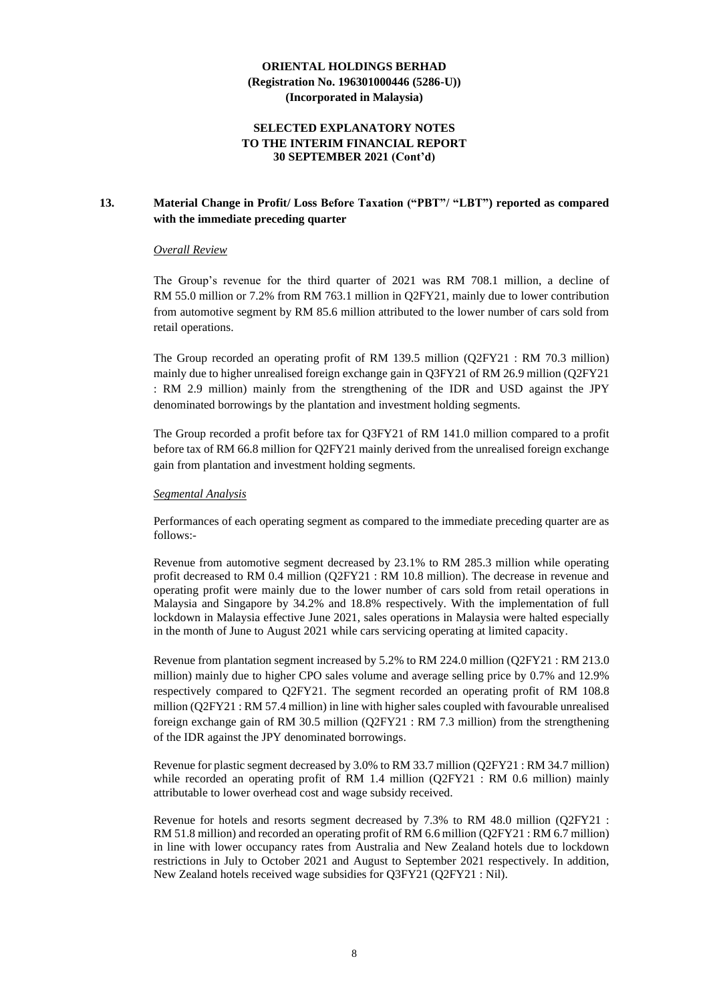#### **SELECTED EXPLANATORY NOTES TO THE INTERIM FINANCIAL REPORT 30 SEPTEMBER 2021 (Cont'd)**

### **13. Material Change in Profit/ Loss Before Taxation ("PBT"/ "LBT") reported as compared with the immediate preceding quarter**

#### *Overall Review*

The Group's revenue for the third quarter of 2021 was RM 708.1 million, a decline of RM 55.0 million or 7.2% from RM 763.1 million in Q2FY21, mainly due to lower contribution from automotive segment by RM 85.6 million attributed to the lower number of cars sold from retail operations.

The Group recorded an operating profit of RM 139.5 million (Q2FY21 : RM 70.3 million) mainly due to higher unrealised foreign exchange gain in Q3FY21 of RM 26.9 million (Q2FY21 : RM 2.9 million) mainly from the strengthening of the IDR and USD against the JPY denominated borrowings by the plantation and investment holding segments.

The Group recorded a profit before tax for Q3FY21 of RM 141.0 million compared to a profit before tax of RM 66.8 million for Q2FY21 mainly derived from the unrealised foreign exchange gain from plantation and investment holding segments.

#### *Segmental Analysis*

Performances of each operating segment as compared to the immediate preceding quarter are as follows:-

Revenue from automotive segment decreased by 23.1% to RM 285.3 million while operating profit decreased to RM 0.4 million (Q2FY21 : RM 10.8 million). The decrease in revenue and operating profit were mainly due to the lower number of cars sold from retail operations in Malaysia and Singapore by 34.2% and 18.8% respectively. With the implementation of full lockdown in Malaysia effective June 2021, sales operations in Malaysia were halted especially in the month of June to August 2021 while cars servicing operating at limited capacity.

Revenue from plantation segment increased by 5.2% to RM 224.0 million (Q2FY21 : RM 213.0 million) mainly due to higher CPO sales volume and average selling price by 0.7% and 12.9% respectively compared to Q2FY21. The segment recorded an operating profit of RM 108.8 million (Q2FY21 : RM 57.4 million) in line with higher sales coupled with favourable unrealised foreign exchange gain of RM 30.5 million (Q2FY21 : RM 7.3 million) from the strengthening of the IDR against the JPY denominated borrowings.

Revenue for plastic segment decreased by 3.0% to RM 33.7 million (Q2FY21 : RM 34.7 million) while recorded an operating profit of RM 1.4 million (O2FY21 : RM 0.6 million) mainly attributable to lower overhead cost and wage subsidy received.

Revenue for hotels and resorts segment decreased by 7.3% to RM 48.0 million (Q2FY21 : RM 51.8 million) and recorded an operating profit of RM 6.6 million (Q2FY21 : RM 6.7 million) in line with lower occupancy rates from Australia and New Zealand hotels due to lockdown restrictions in July to October 2021 and August to September 2021 respectively. In addition, New Zealand hotels received wage subsidies for Q3FY21 (Q2FY21 : Nil).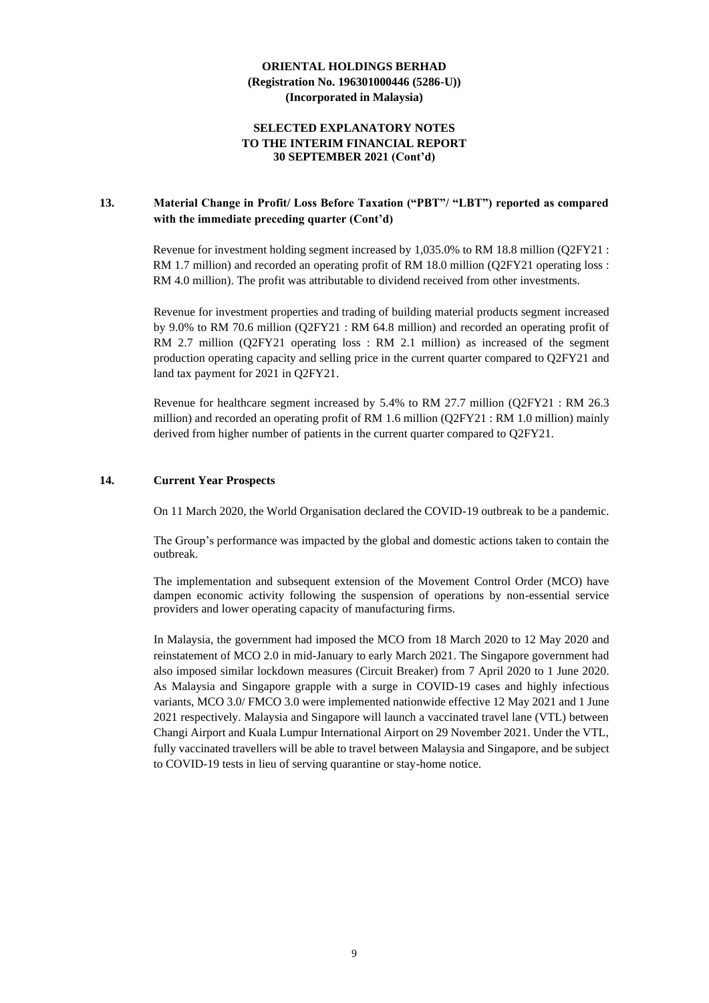#### **SELECTED EXPLANATORY NOTES TO THE INTERIM FINANCIAL REPORT 30 SEPTEMBER 2021 (Cont'd)**

### **13. Material Change in Profit/ Loss Before Taxation ("PBT"/ "LBT") reported as compared with the immediate preceding quarter (Cont'd)**

Revenue for investment holding segment increased by 1,035.0% to RM 18.8 million (Q2FY21 : RM 1.7 million) and recorded an operating profit of RM 18.0 million (Q2FY21 operating loss : RM 4.0 million). The profit was attributable to dividend received from other investments.

Revenue for investment properties and trading of building material products segment increased by 9.0% to RM 70.6 million (Q2FY21 : RM 64.8 million) and recorded an operating profit of RM 2.7 million (Q2FY21 operating loss : RM 2.1 million) as increased of the segment production operating capacity and selling price in the current quarter compared to Q2FY21 and land tax payment for 2021 in Q2FY21.

Revenue for healthcare segment increased by 5.4% to RM 27.7 million (Q2FY21 : RM 26.3 million) and recorded an operating profit of RM 1.6 million (Q2FY21 : RM 1.0 million) mainly derived from higher number of patients in the current quarter compared to Q2FY21.

### **14. Current Year Prospects**

On 11 March 2020, the World Organisation declared the COVID-19 outbreak to be a pandemic.

The Group's performance was impacted by the global and domestic actions taken to contain the outbreak.

The implementation and subsequent extension of the Movement Control Order (MCO) have dampen economic activity following the suspension of operations by non-essential service providers and lower operating capacity of manufacturing firms.

In Malaysia, the government had imposed the MCO from 18 March 2020 to 12 May 2020 and reinstatement of MCO 2.0 in mid-January to early March 2021. The Singapore government had also imposed similar lockdown measures (Circuit Breaker) from 7 April 2020 to 1 June 2020. As Malaysia and Singapore grapple with a surge in COVID-19 cases and highly infectious variants, MCO 3.0/ FMCO 3.0 were implemented nationwide effective 12 May 2021 and 1 June 2021 respectively. Malaysia and Singapore will launch a vaccinated travel lane (VTL) between Changi Airport and Kuala Lumpur International Airport on 29 November 2021. Under the VTL, fully vaccinated travellers will be able to travel between Malaysia and Singapore, and be subject to COVID-19 tests in lieu of serving quarantine or stay-home notice.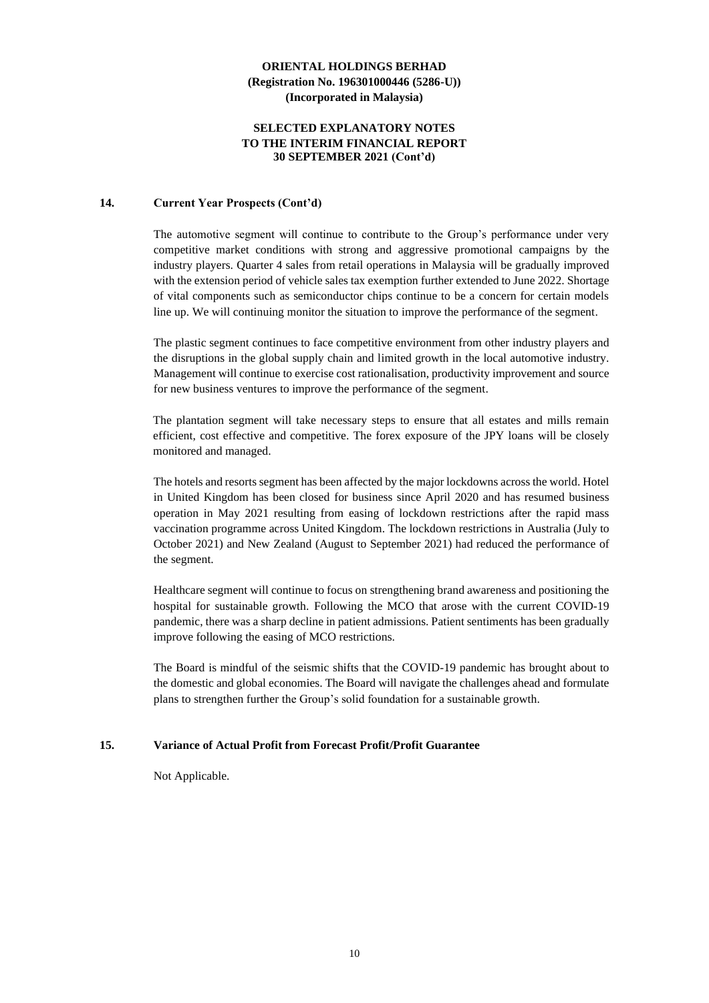#### **SELECTED EXPLANATORY NOTES TO THE INTERIM FINANCIAL REPORT 30 SEPTEMBER 2021 (Cont'd)**

#### **14. Current Year Prospects (Cont'd)**

The automotive segment will continue to contribute to the Group's performance under very competitive market conditions with strong and aggressive promotional campaigns by the industry players. Quarter 4 sales from retail operations in Malaysia will be gradually improved with the extension period of vehicle sales tax exemption further extended to June 2022. Shortage of vital components such as semiconductor chips continue to be a concern for certain models line up. We will continuing monitor the situation to improve the performance of the segment.

The plastic segment continues to face competitive environment from other industry players and the disruptions in the global supply chain and limited growth in the local automotive industry. Management will continue to exercise cost rationalisation, productivity improvement and source for new business ventures to improve the performance of the segment.

The plantation segment will take necessary steps to ensure that all estates and mills remain efficient, cost effective and competitive. The forex exposure of the JPY loans will be closely monitored and managed.

The hotels and resorts segment has been affected by the major lockdowns across the world. Hotel in United Kingdom has been closed for business since April 2020 and has resumed business operation in May 2021 resulting from easing of lockdown restrictions after the rapid mass vaccination programme across United Kingdom. The lockdown restrictions in Australia (July to October 2021) and New Zealand (August to September 2021) had reduced the performance of the segment.

Healthcare segment will continue to focus on strengthening brand awareness and positioning the hospital for sustainable growth. Following the MCO that arose with the current COVID-19 pandemic, there was a sharp decline in patient admissions. Patient sentiments has been gradually improve following the easing of MCO restrictions.

The Board is mindful of the seismic shifts that the COVID-19 pandemic has brought about to the domestic and global economies. The Board will navigate the challenges ahead and formulate plans to strengthen further the Group's solid foundation for a sustainable growth.

#### **15. Variance of Actual Profit from Forecast Profit/Profit Guarantee**

Not Applicable.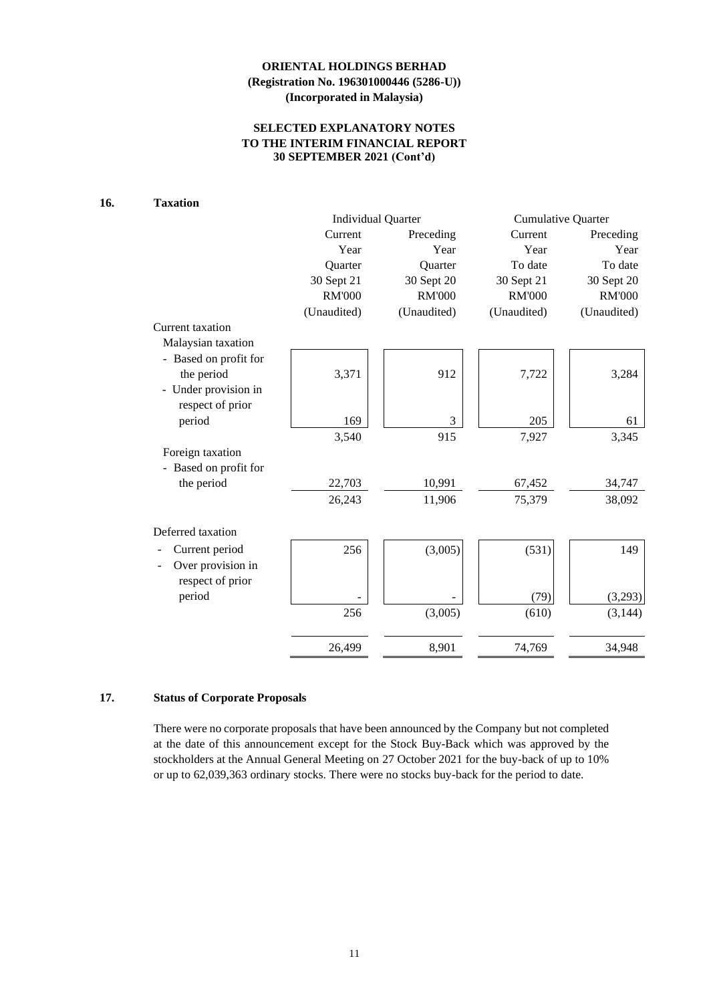### **SELECTED EXPLANATORY NOTES TO THE INTERIM FINANCIAL REPORT 30 SEPTEMBER 2021 (Cont'd)**

### **16. Taxation**

|                       |               | <b>Individual Quarter</b> | <b>Cumulative Quarter</b> |               |  |
|-----------------------|---------------|---------------------------|---------------------------|---------------|--|
|                       | Current       | Preceding                 | Current                   | Preceding     |  |
|                       | Year          | Year                      | Year                      | Year          |  |
|                       | Quarter       | Quarter                   | To date                   | To date       |  |
|                       | 30 Sept 21    | 30 Sept 20                | 30 Sept 21                | 30 Sept 20    |  |
|                       | <b>RM'000</b> | <b>RM'000</b>             | <b>RM'000</b>             | <b>RM'000</b> |  |
|                       | (Unaudited)   | (Unaudited)               | (Unaudited)               | (Unaudited)   |  |
| Current taxation      |               |                           |                           |               |  |
| Malaysian taxation    |               |                           |                           |               |  |
| - Based on profit for |               |                           |                           |               |  |
| the period            | 3,371         | 912                       | 7,722                     | 3,284         |  |
| - Under provision in  |               |                           |                           |               |  |
| respect of prior      |               |                           |                           |               |  |
| period                | 169           | 3                         | 205                       | 61            |  |
|                       | 3,540         | 915                       | 7,927                     | 3,345         |  |
| Foreign taxation      |               |                           |                           |               |  |
| - Based on profit for |               |                           |                           |               |  |
| the period            | 22,703        | 10,991                    | 67,452                    | 34,747        |  |
|                       | 26,243        | 11,906                    | 75,379                    | 38,092        |  |
| Deferred taxation     |               |                           |                           |               |  |
| Current period        | 256           | (3,005)                   | (531)                     | 149           |  |
| Over provision in     |               |                           |                           |               |  |
| respect of prior      |               |                           |                           |               |  |
| period                |               |                           | (79)                      | (3,293)       |  |
|                       | 256           | (3,005)                   | (610)                     | (3, 144)      |  |
|                       | 26,499        | 8,901                     | 74,769                    | 34,948        |  |

### **17. Status of Corporate Proposals**

There were no corporate proposals that have been announced by the Company but not completed at the date of this announcement except for the Stock Buy-Back which was approved by the stockholders at the Annual General Meeting on 27 October 2021 for the buy-back of up to 10% or up to 62,039,363 ordinary stocks. There were no stocks buy-back for the period to date.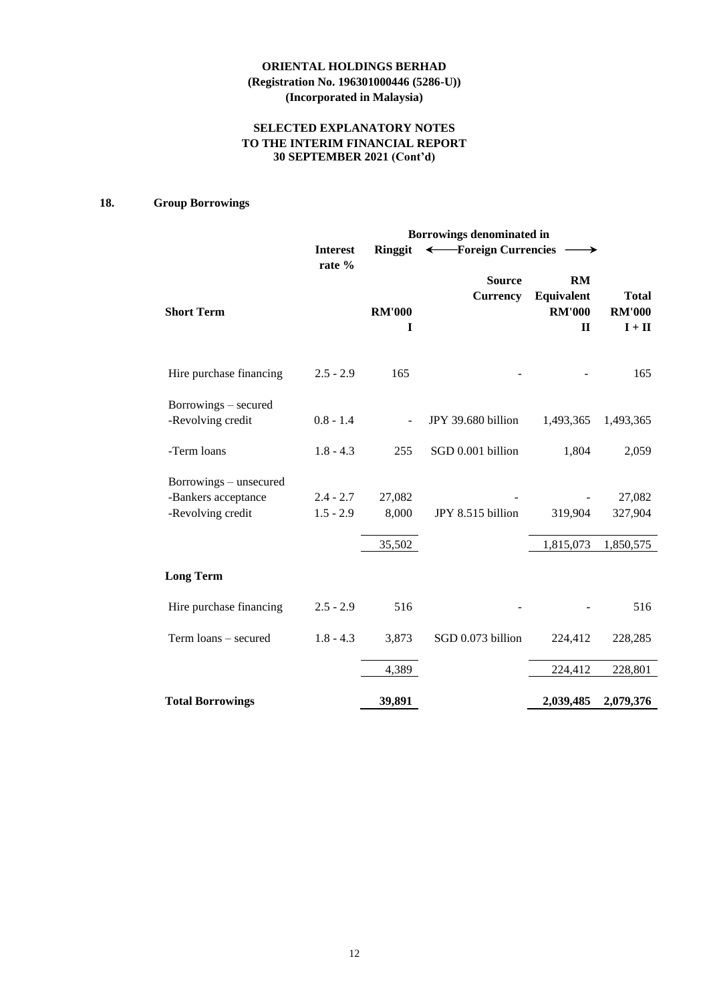### **SELECTED EXPLANATORY NOTES TO THE INTERIM FINANCIAL REPORT 30 SEPTEMBER 2021 (Cont'd)**

### **18. Group Borrowings**

|                                                                    | Borrowings denominated in  |                    |                                  |                                                   |                                           |  |  |  |  |  |
|--------------------------------------------------------------------|----------------------------|--------------------|----------------------------------|---------------------------------------------------|-------------------------------------------|--|--|--|--|--|
|                                                                    | <b>Interest</b><br>rate %  | <b>Ringgit</b>     | ← Foreign Currencies             | $\longrightarrow$                                 |                                           |  |  |  |  |  |
| <b>Short Term</b>                                                  |                            | <b>RM'000</b><br>I | <b>Source</b><br><b>Currency</b> | RM<br>Equivalent<br><b>RM'000</b><br>$\mathbf{I}$ | <b>Total</b><br><b>RM'000</b><br>$I + II$ |  |  |  |  |  |
| Hire purchase financing                                            | $2.5 - 2.9$                | 165                |                                  |                                                   | 165                                       |  |  |  |  |  |
| Borrowings - secured<br>-Revolving credit                          | $0.8 - 1.4$                |                    | JPY 39.680 billion               | 1,493,365                                         | 1,493,365                                 |  |  |  |  |  |
| -Term loans                                                        | $1.8 - 4.3$                | 255                | SGD 0.001 billion                | 1,804                                             | 2,059                                     |  |  |  |  |  |
| Borrowings – unsecured<br>-Bankers acceptance<br>-Revolving credit | $2.4 - 2.7$<br>$1.5 - 2.9$ | 27,082<br>8,000    | JPY 8.515 billion                | 319,904                                           | 27,082<br>327,904                         |  |  |  |  |  |
|                                                                    |                            | 35,502             |                                  | 1,815,073                                         | 1,850,575                                 |  |  |  |  |  |
| <b>Long Term</b>                                                   |                            |                    |                                  |                                                   |                                           |  |  |  |  |  |
| Hire purchase financing                                            | $2.5 - 2.9$                | 516                |                                  |                                                   | 516                                       |  |  |  |  |  |
| Term loans - secured                                               | $1.8 - 4.3$                | 3,873              | SGD 0.073 billion                | 224,412                                           | 228,285                                   |  |  |  |  |  |
|                                                                    |                            | 4,389              |                                  | 224,412                                           | 228,801                                   |  |  |  |  |  |
| <b>Total Borrowings</b>                                            |                            | 39,891             |                                  | 2,039,485                                         | 2,079,376                                 |  |  |  |  |  |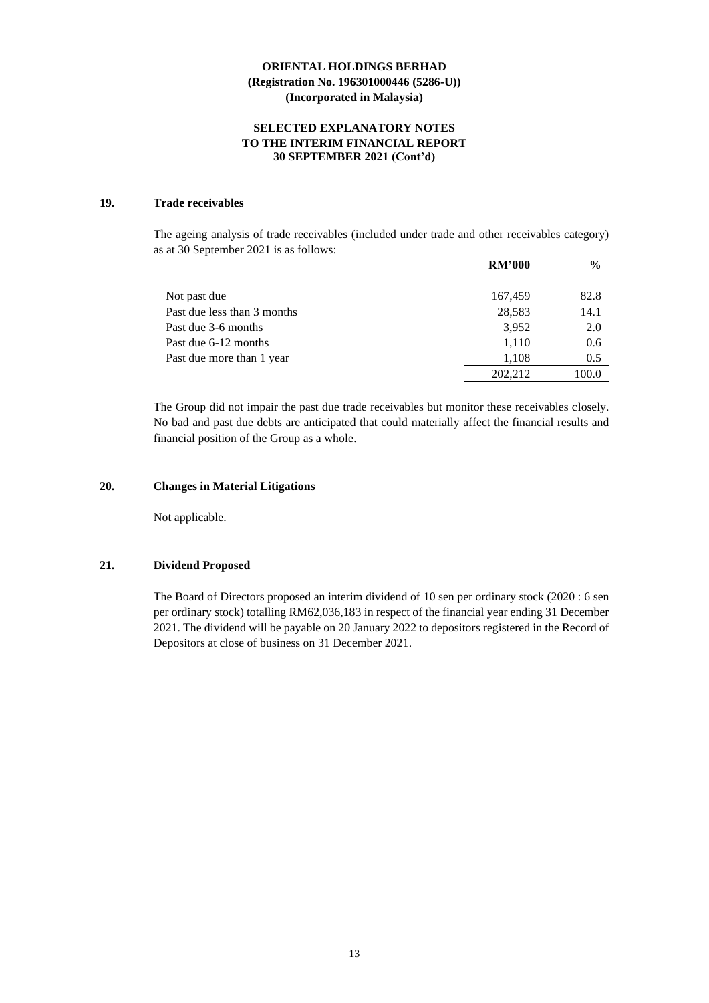#### **SELECTED EXPLANATORY NOTES TO THE INTERIM FINANCIAL REPORT 30 SEPTEMBER 2021 (Cont'd)**

### **19. Trade receivables**

The ageing analysis of trade receivables (included under trade and other receivables category) as at 30 September 2021 is as follows:

|                             | <b>RM'000</b> | $\frac{6}{9}$ |
|-----------------------------|---------------|---------------|
| Not past due                | 167,459       | 82.8          |
| Past due less than 3 months | 28,583        | 14.1          |
| Past due 3-6 months         | 3,952         | 2.0           |
| Past due 6-12 months        | 1,110         | 0.6           |
| Past due more than 1 year   | 1,108         | 0.5           |
|                             | 202.212       | 100.0         |

The Group did not impair the past due trade receivables but monitor these receivables closely. No bad and past due debts are anticipated that could materially affect the financial results and financial position of the Group as a whole.

#### **20. Changes in Material Litigations**

Not applicable.

### **21. Dividend Proposed**

The Board of Directors proposed an interim dividend of 10 sen per ordinary stock (2020 : 6 sen per ordinary stock) totalling RM62,036,183 in respect of the financial year ending 31 December 2021. The dividend will be payable on 20 January 2022 to depositors registered in the Record of Depositors at close of business on 31 December 2021.